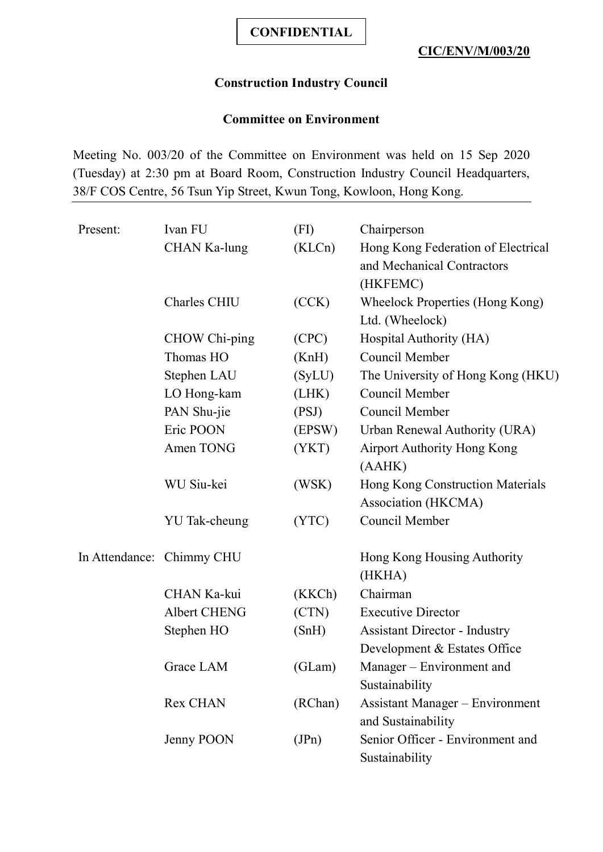## **Construction Industry Council**

## **Committee on Environment**

Meeting No. 003/20 of the Committee on Environment was held on 15 Sep 2020 (Tuesday) at 2:30 pm at Board Room, Construction Industry Council Headquarters, 38/F COS Centre, 56 Tsun Yip Street, Kwun Tong, Kowloon, Hong Kong.

| Present: | Ivan FU                   | (FI)    | Chairperson                            |
|----------|---------------------------|---------|----------------------------------------|
|          | CHAN Ka-lung              | (KLCn)  | Hong Kong Federation of Electrical     |
|          |                           |         | and Mechanical Contractors             |
|          |                           |         | (HKFEMC)                               |
|          | Charles CHIU              | (CCK)   | Wheelock Properties (Hong Kong)        |
|          |                           |         | Ltd. (Wheelock)                        |
|          | CHOW Chi-ping             | (CPC)   | Hospital Authority (HA)                |
|          | Thomas HO                 | (KnH)   | Council Member                         |
|          | Stephen LAU               | (SyLU)  | The University of Hong Kong (HKU)      |
|          | LO Hong-kam               | (LHK)   | Council Member                         |
|          | PAN Shu-jie               | (PSJ)   | Council Member                         |
|          | Eric POON                 | (EPSW)  | Urban Renewal Authority (URA)          |
|          | Amen TONG                 | (YKT)   | <b>Airport Authority Hong Kong</b>     |
|          |                           |         | (AAHK)                                 |
|          | WU Siu-kei                | (WSK)   | Hong Kong Construction Materials       |
|          |                           |         | Association (HKCMA)                    |
|          | YU Tak-cheung             | (YTC)   | Council Member                         |
|          | In Attendance: Chimmy CHU |         | Hong Kong Housing Authority            |
|          |                           |         | (HKHA)                                 |
|          | CHAN Ka-kui               | (KKCh)  | Chairman                               |
|          | <b>Albert CHENG</b>       | (CTN)   | <b>Executive Director</b>              |
|          | Stephen HO                | (SnH)   | <b>Assistant Director - Industry</b>   |
|          |                           |         | Development & Estates Office           |
|          | Grace LAM                 | (GLam)  | Manager - Environment and              |
|          |                           |         | Sustainability                         |
|          | Rex CHAN                  | (RChan) | <b>Assistant Manager – Environment</b> |
|          |                           |         | and Sustainability                     |
|          | Jenny POON                | (JPn)   | Senior Officer - Environment and       |
|          |                           |         | Sustainability                         |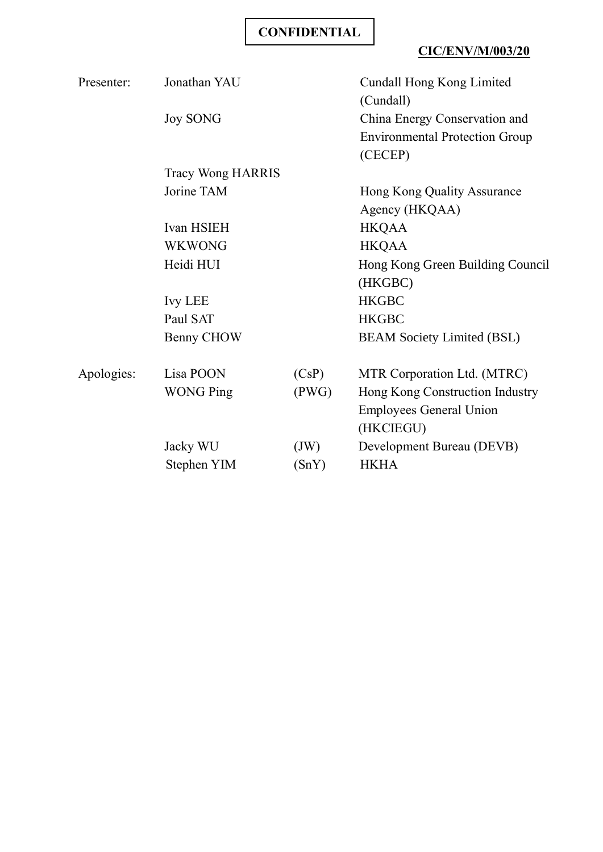## **CIC/ENV/M/003/20**

| Presenter: | Jonathan YAU      |       | Cundall Hong Kong Limited<br>(Cundall)           |
|------------|-------------------|-------|--------------------------------------------------|
|            | <b>Joy SONG</b>   |       | China Energy Conservation and                    |
|            |                   |       | <b>Environmental Protection Group</b><br>(CECEP) |
|            | Tracy Wong HARRIS |       |                                                  |
|            | Jorine TAM        |       | Hong Kong Quality Assurance                      |
|            |                   |       | Agency (HKQAA)                                   |
|            | Ivan HSIEH        |       | <b>HKQAA</b>                                     |
|            | <b>WKWONG</b>     |       | <b>HKQAA</b>                                     |
|            | Heidi HUI         |       | Hong Kong Green Building Council                 |
|            |                   |       | (HKGBC)                                          |
|            | <b>Ivy LEE</b>    |       | <b>HKGBC</b>                                     |
|            | Paul SAT          |       | <b>HKGBC</b>                                     |
|            | Benny CHOW        |       | <b>BEAM Society Limited (BSL)</b>                |
| Apologies: | Lisa POON         | (CsP) | MTR Corporation Ltd. (MTRC)                      |
|            | <b>WONG Ping</b>  | (PWG) | Hong Kong Construction Industry                  |
|            |                   |       | <b>Employees General Union</b><br>(HKCIEGU)      |
|            | Jacky WU          | (JW)  | Development Bureau (DEVB)                        |
|            | Stephen YIM       | (SnY) | <b>HKHA</b>                                      |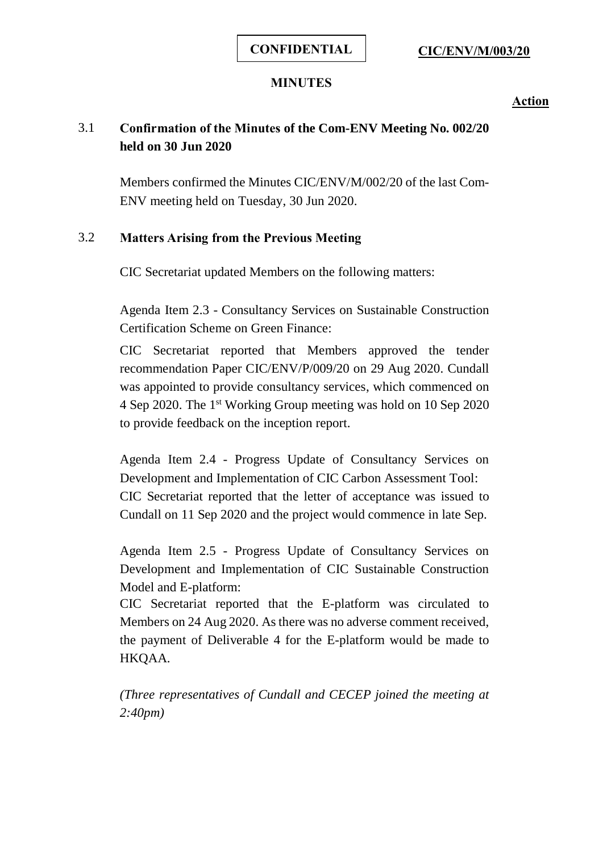#### **MINUTES**

**Action**

# 3.1 **Confirmation of the Minutes of the Com-ENV Meeting No. 002/20 held on 30 Jun 2020**

Members confirmed the Minutes CIC/ENV/M/002/20 of the last Com-ENV meeting held on Tuesday, 30 Jun 2020.

## 3.2 **Matters Arising from the Previous Meeting**

CIC Secretariat updated Members on the following matters:

Agenda Item 2.3 - Consultancy Services on Sustainable Construction Certification Scheme on Green Finance:

CIC Secretariat reported that Members approved the tender recommendation Paper CIC/ENV/P/009/20 on 29 Aug 2020. Cundall was appointed to provide consultancy services, which commenced on 4 Sep 2020. The 1st Working Group meeting was hold on 10 Sep 2020 to provide feedback on the inception report.

Agenda Item 2.4 - Progress Update of Consultancy Services on Development and Implementation of CIC Carbon Assessment Tool: CIC Secretariat reported that the letter of acceptance was issued to Cundall on 11 Sep 2020 and the project would commence in late Sep.

Agenda Item 2.5 - Progress Update of Consultancy Services on Development and Implementation of CIC Sustainable Construction Model and E-platform:

CIC Secretariat reported that the E-platform was circulated to Members on 24 Aug 2020. As there was no adverse comment received, the payment of Deliverable 4 for the E-platform would be made to HKQAA.

*(Three representatives of Cundall and CECEP joined the meeting at 2:40pm)*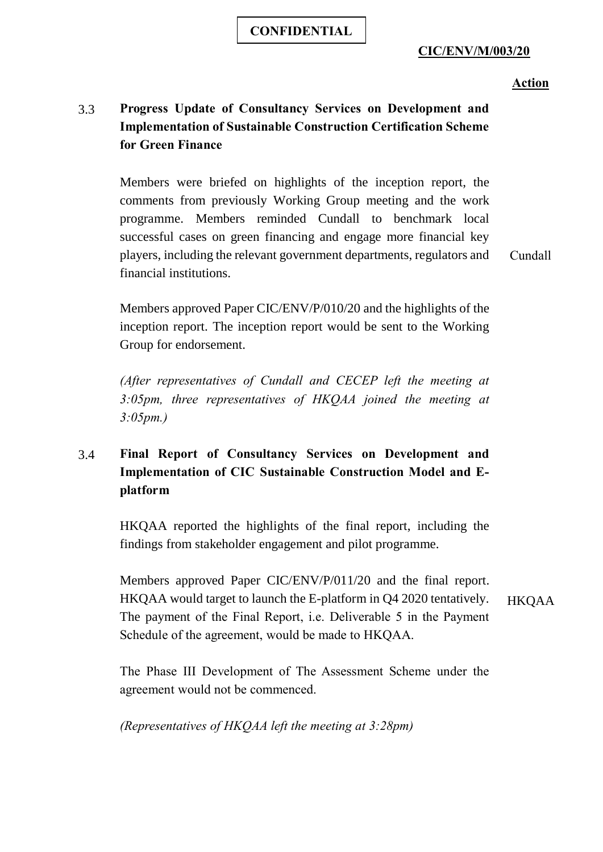#### **CIC/ENV/M/003/20**

#### **Action**

# 3.3 **Progress Update of Consultancy Services on Development and Implementation of Sustainable Construction Certification Scheme for Green Finance**

Members were briefed on highlights of the inception report, the comments from previously Working Group meeting and the work programme. Members reminded Cundall to benchmark local successful cases on green financing and engage more financial key players, including the relevant government departments, regulators and financial institutions.

Cundall

Members approved Paper CIC/ENV/P/010/20 and the highlights of the inception report. The inception report would be sent to the Working Group for endorsement.

*(After representatives of Cundall and CECEP left the meeting at 3:05pm, three representatives of HKQAA joined the meeting at 3:05pm.)*

# 3.4 **Final Report of Consultancy Services on Development and Implementation of CIC Sustainable Construction Model and Eplatform**

HKQAA reported the highlights of the final report, including the findings from stakeholder engagement and pilot programme.

Members approved Paper CIC/ENV/P/011/20 and the final report. HKQAA would target to launch the E-platform in Q4 2020 tentatively. The payment of the Final Report, i.e. Deliverable 5 in the Payment Schedule of the agreement, would be made to HKQAA. HKQAA

The Phase III Development of The Assessment Scheme under the agreement would not be commenced.

*(Representatives of HKQAA left the meeting at 3:28pm)*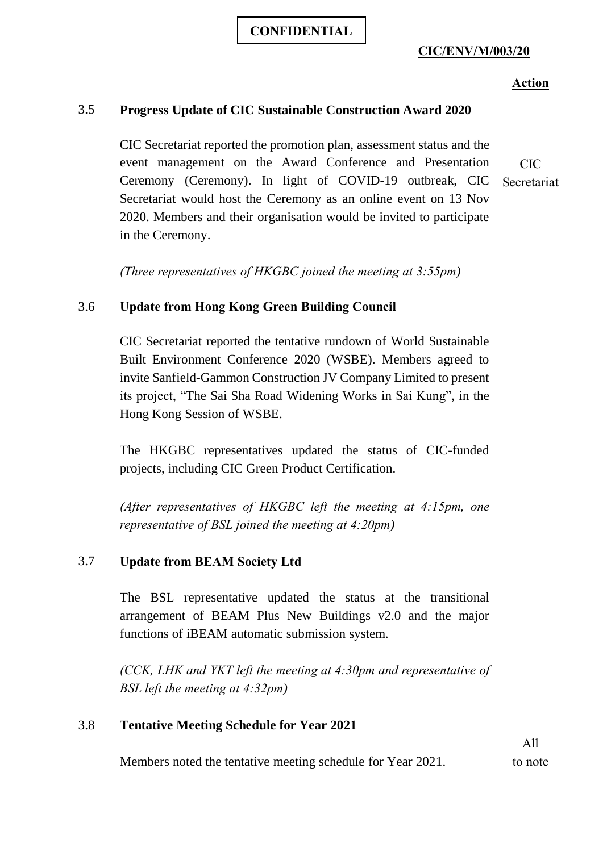#### **CIC/ENV/M/003/20**

#### **Action**

#### 3.5 **Progress Update of CIC Sustainable Construction Award 2020**

CIC Secretariat reported the promotion plan, assessment status and the event management on the Award Conference and Presentation Ceremony (Ceremony). In light of COVID-19 outbreak, CIC Secretariat would host the Ceremony as an online event on 13 Nov 2020. Members and their organisation would be invited to participate in the Ceremony. CIC Secretariat

*(Three representatives of HKGBC joined the meeting at 3:55pm)*

## 3.6 **Update from Hong Kong Green Building Council**

CIC Secretariat reported the tentative rundown of World Sustainable Built Environment Conference 2020 (WSBE). Members agreed to invite Sanfield-Gammon Construction JV Company Limited to present its project, "The Sai Sha Road Widening Works in Sai Kung", in the Hong Kong Session of WSBE.

The HKGBC representatives updated the status of CIC-funded projects, including CIC Green Product Certification.

*(After representatives of HKGBC left the meeting at 4:15pm, one representative of BSL joined the meeting at 4:20pm)*

## 3.7 **Update from BEAM Society Ltd**

The BSL representative updated the status at the transitional arrangement of BEAM Plus New Buildings v2.0 and the major functions of iBEAM automatic submission system.

*(CCK, LHK and YKT left the meeting at 4:30pm and representative of BSL left the meeting at 4:32pm)*

## 3.8 **Tentative Meeting Schedule for Year 2021**

Members noted the tentative meeting schedule for Year 2021.

All to note